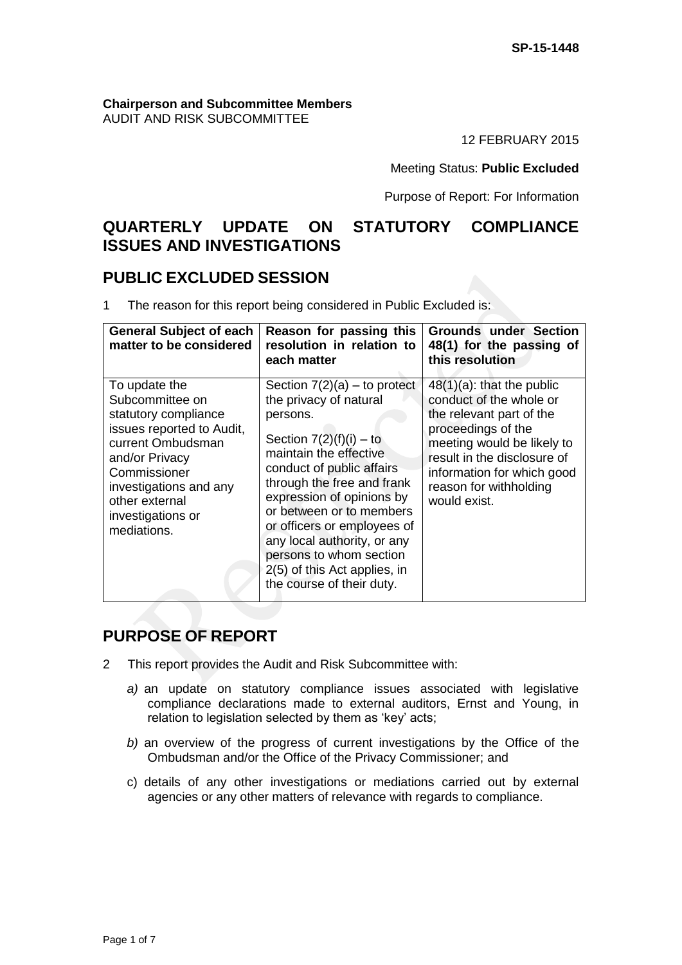#### **Chairperson and Subcommittee Members** AUDIT AND RISK SUBCOMMITTEE

12 FEBRUARY 2015

Meeting Status: **Public Excluded**

Purpose of Report: For Information

# **QUARTERLY UPDATE ON STATUTORY COMPLIANCE ISSUES AND INVESTIGATIONS**

# **PUBLIC EXCLUDED SESSION**

1 The reason for this report being considered in Public Excluded is:

| <b>General Subject of each</b><br>matter to be considered                                                                                                                                                                    | Reason for passing this<br>resolution in relation to<br>each matter                                                                                                                                                                                                                                                                                                                                   | <b>Grounds under Section</b><br>48(1) for the passing of<br>this resolution                                                                                                                                                                    |
|------------------------------------------------------------------------------------------------------------------------------------------------------------------------------------------------------------------------------|-------------------------------------------------------------------------------------------------------------------------------------------------------------------------------------------------------------------------------------------------------------------------------------------------------------------------------------------------------------------------------------------------------|------------------------------------------------------------------------------------------------------------------------------------------------------------------------------------------------------------------------------------------------|
| To update the<br>Subcommittee on<br>statutory compliance<br>issues reported to Audit,<br>current Ombudsman<br>and/or Privacy<br>Commissioner<br>investigations and any<br>other external<br>investigations or<br>mediations. | Section $7(2)(a)$ – to protect<br>the privacy of natural<br>persons.<br>Section $7(2)(f)(i) - to$<br>maintain the effective<br>conduct of public affairs<br>through the free and frank<br>expression of opinions by<br>or between or to members<br>or officers or employees of<br>any local authority, or any<br>persons to whom section<br>2(5) of this Act applies, in<br>the course of their duty. | $48(1)(a)$ : that the public<br>conduct of the whole or<br>the relevant part of the<br>proceedings of the<br>meeting would be likely to<br>result in the disclosure of<br>information for which good<br>reason for withholding<br>would exist. |

# **PURPOSE OF REPORT**

- 2 This report provides the Audit and Risk Subcommittee with:
	- *a)* an update on statutory compliance issues associated with legislative compliance declarations made to external auditors, Ernst and Young, in relation to legislation selected by them as 'key' acts;
	- *b)* an overview of the progress of current investigations by the Office of the Ombudsman and/or the Office of the Privacy Commissioner; and
	- c) details of any other investigations or mediations carried out by external agencies or any other matters of relevance with regards to compliance.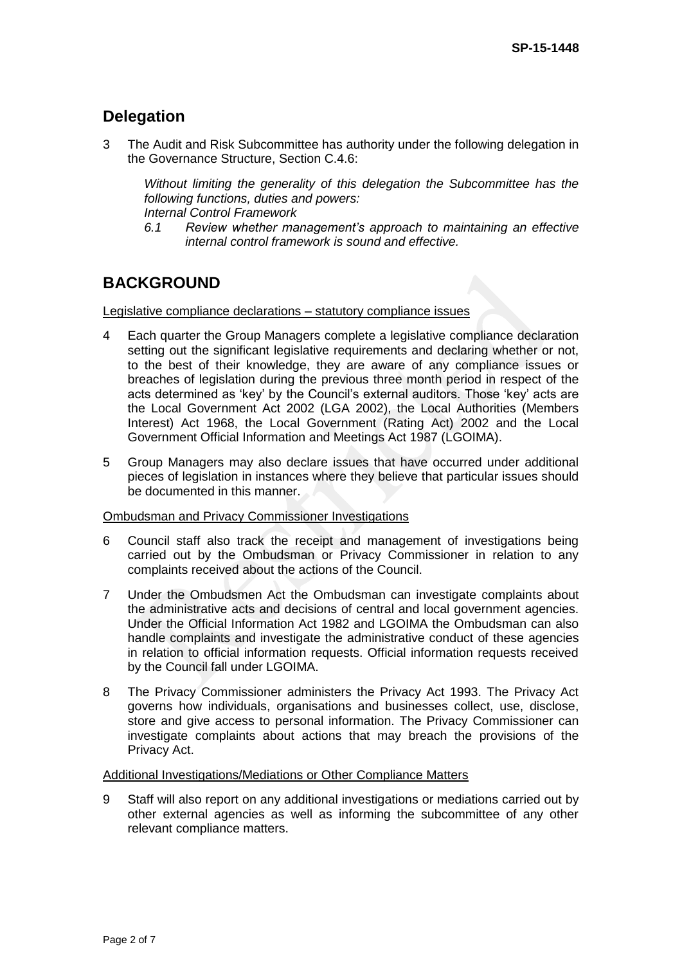# **Delegation**

3 The Audit and Risk Subcommittee has authority under the following delegation in the Governance Structure, Section C.4.6:

*Without limiting the generality of this delegation the Subcommittee has the following functions, duties and powers: Internal Control Framework*

*6.1 Review whether management's approach to maintaining an effective internal control framework is sound and effective.*

# **BACKGROUND**

Legislative compliance declarations – statutory compliance issues

- 4 Each quarter the Group Managers complete a legislative compliance declaration setting out the significant legislative requirements and declaring whether or not, to the best of their knowledge, they are aware of any compliance issues or breaches of legislation during the previous three month period in respect of the acts determined as 'key' by the Council's external auditors. Those 'key' acts are the Local Government Act 2002 (LGA 2002), the Local Authorities (Members Interest) Act 1968, the Local Government (Rating Act) 2002 and the Local Government Official Information and Meetings Act 1987 (LGOIMA).
- 5 Group Managers may also declare issues that have occurred under additional pieces of legislation in instances where they believe that particular issues should be documented in this manner.

#### Ombudsman and Privacy Commissioner Investigations

- 6 Council staff also track the receipt and management of investigations being carried out by the Ombudsman or Privacy Commissioner in relation to any complaints received about the actions of the Council.
- 7 Under the Ombudsmen Act the Ombudsman can investigate complaints about the administrative acts and decisions of central and local government agencies. Under the Official Information Act 1982 and LGOIMA the Ombudsman can also handle complaints and investigate the administrative conduct of these agencies in relation to official information requests. Official information requests received by the Council fall under LGOIMA.
- 8 The Privacy Commissioner administers the Privacy Act 1993. The Privacy Act governs how individuals, organisations and businesses collect, use, disclose, store and give access to personal information. The Privacy Commissioner can investigate complaints about actions that may breach the provisions of the Privacy Act.

#### Additional Investigations/Mediations or Other Compliance Matters

9 Staff will also report on any additional investigations or mediations carried out by other external agencies as well as informing the subcommittee of any other relevant compliance matters.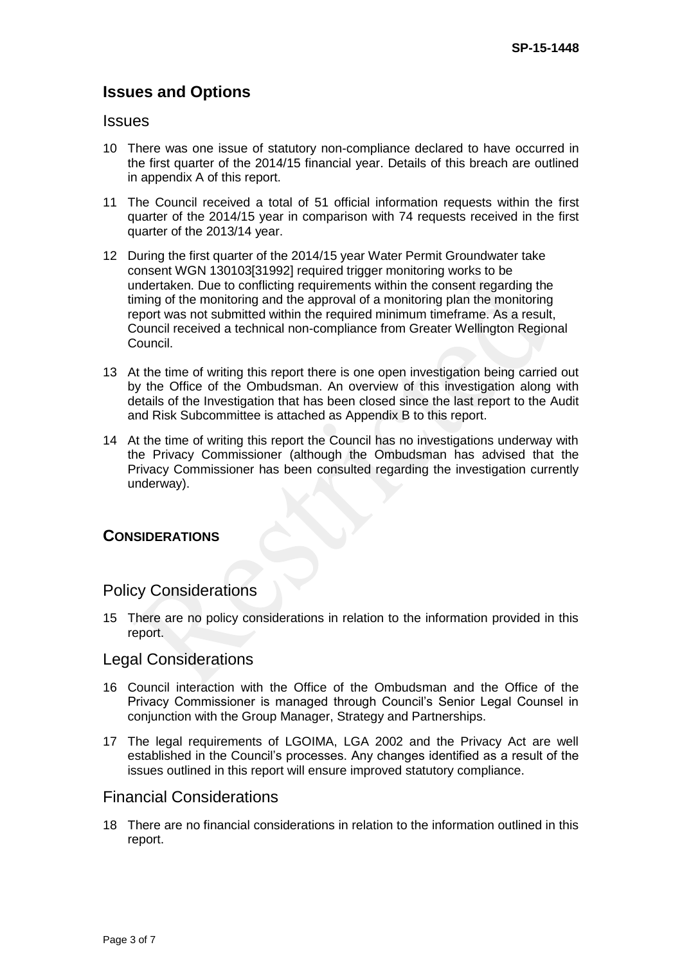# **Issues and Options**

#### **Issues**

- 10 There was one issue of statutory non-compliance declared to have occurred in the first quarter of the 2014/15 financial year. Details of this breach are outlined in appendix A of this report.
- 11 The Council received a total of 51 official information requests within the first quarter of the 2014/15 year in comparison with 74 requests received in the first quarter of the 2013/14 year.
- 12 During the first quarter of the 2014/15 year Water Permit Groundwater take consent WGN 130103[31992] required trigger monitoring works to be undertaken. Due to conflicting requirements within the consent regarding the timing of the monitoring and the approval of a monitoring plan the monitoring report was not submitted within the required minimum timeframe. As a result, Council received a technical non-compliance from Greater Wellington Regional Council.
- 13 At the time of writing this report there is one open investigation being carried out by the Office of the Ombudsman. An overview of this investigation along with details of the Investigation that has been closed since the last report to the Audit and Risk Subcommittee is attached as Appendix B to this report.
- 14 At the time of writing this report the Council has no investigations underway with the Privacy Commissioner (although the Ombudsman has advised that the Privacy Commissioner has been consulted regarding the investigation currently underway).

#### **CONSIDERATIONS**

## Policy Considerations

15 There are no policy considerations in relation to the information provided in this report.

## Legal Considerations

- 16 Council interaction with the Office of the Ombudsman and the Office of the Privacy Commissioner is managed through Council's Senior Legal Counsel in conjunction with the Group Manager, Strategy and Partnerships.
- 17 The legal requirements of LGOIMA, LGA 2002 and the Privacy Act are well established in the Council's processes. Any changes identified as a result of the issues outlined in this report will ensure improved statutory compliance.

## Financial Considerations

18 There are no financial considerations in relation to the information outlined in this report.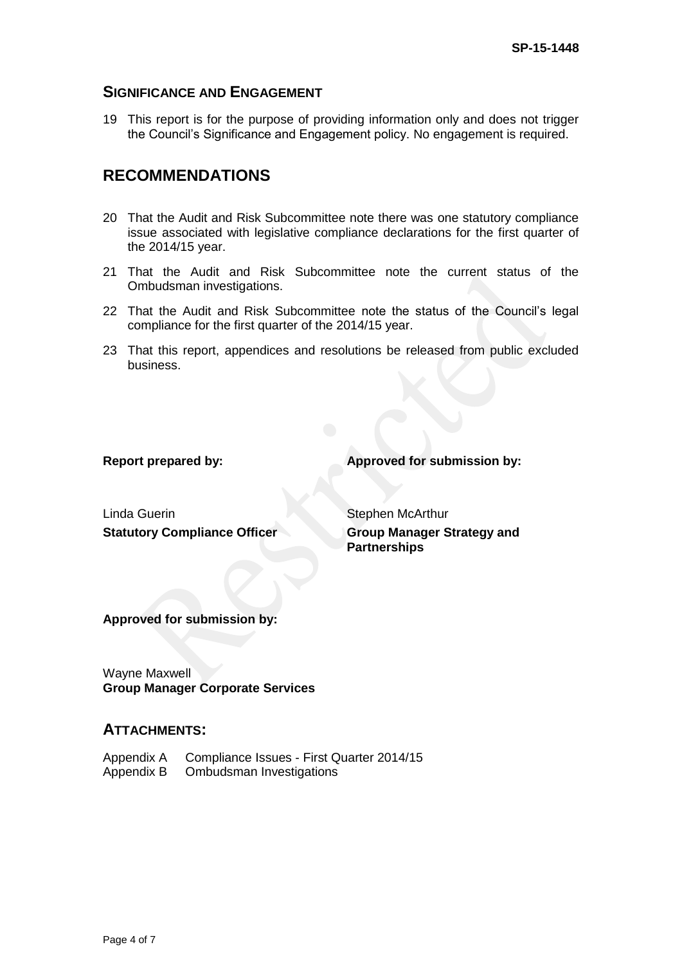#### **SIGNIFICANCE AND ENGAGEMENT**

19 This report is for the purpose of providing information only and does not trigger the Council's Significance and Engagement policy. No engagement is required.

# **RECOMMENDATIONS**

- 20 That the Audit and Risk Subcommittee note there was one statutory compliance issue associated with legislative compliance declarations for the first quarter of the 2014/15 year.
- 21 That the Audit and Risk Subcommittee note the current status of the Ombudsman investigations.
- 22 That the Audit and Risk Subcommittee note the status of the Council's legal compliance for the first quarter of the 2014/15 year.
- 23 That this report, appendices and resolutions be released from public excluded business.

**Report prepared by: Approved for submission by:**

Linda Guerin Stephen McArthur **Statutory Compliance Officer <b>Group Manager Strategy and** 

**Partnerships**

**Approved for submission by:**

Wayne Maxwell **Group Manager Corporate Services**

## **ATTACHMENTS:**

| Appendix A | Compliance Issues - First Quarter 2014/15 |
|------------|-------------------------------------------|
| Appendix B | Ombudsman Investigations                  |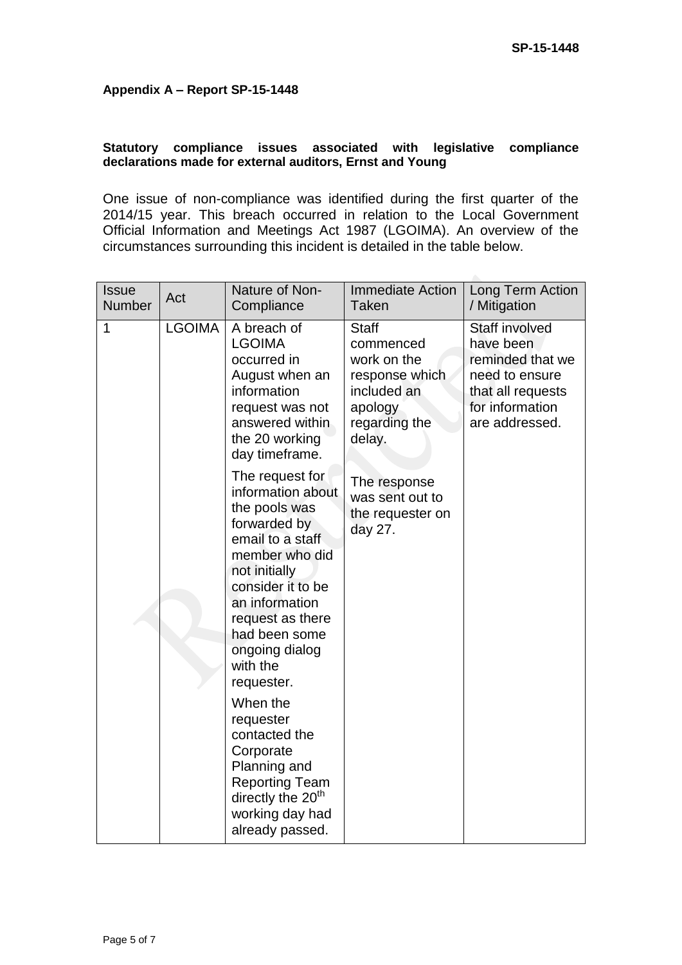#### **Appendix A – Report SP-15-1448**

#### **Statutory compliance issues associated with legislative compliance declarations made for external auditors, Ernst and Young**

One issue of non-compliance was identified during the first quarter of the 2014/15 year. This breach occurred in relation to the Local Government Official Information and Meetings Act 1987 (LGOIMA). An overview of the circumstances surrounding this incident is detailed in the table below.

| <b>Issue</b><br>Number | Act           | Nature of Non-<br>Compliance                                                                                                                                                                                                                                     | <b>Immediate Action</b><br><b>Taken</b>                                                                         | Long Term Action<br>/ Mitigation                                                                                                   |
|------------------------|---------------|------------------------------------------------------------------------------------------------------------------------------------------------------------------------------------------------------------------------------------------------------------------|-----------------------------------------------------------------------------------------------------------------|------------------------------------------------------------------------------------------------------------------------------------|
| 1                      | <b>LGOIMA</b> | A breach of<br><b>LGOIMA</b><br>occurred in<br>August when an<br>information<br>request was not<br>answered within<br>the 20 working<br>day timeframe.                                                                                                           | <b>Staff</b><br>commenced<br>work on the<br>response which<br>included an<br>apology<br>regarding the<br>delay. | <b>Staff involved</b><br>have been<br>reminded that we<br>need to ensure<br>that all requests<br>for information<br>are addressed. |
|                        |               | The request for<br>information about<br>the pools was<br>forwarded by<br>email to a staff<br>member who did<br>not initially<br>consider it to be<br>an information<br>request as there<br>had been some<br>ongoing dialog<br>with the<br>requester.<br>When the | The response<br>was sent out to<br>the requester on<br>day 27.                                                  |                                                                                                                                    |
|                        |               | requester<br>contacted the<br>Corporate<br>Planning and<br><b>Reporting Team</b><br>directly the 20 <sup>th</sup><br>working day had<br>already passed.                                                                                                          |                                                                                                                 |                                                                                                                                    |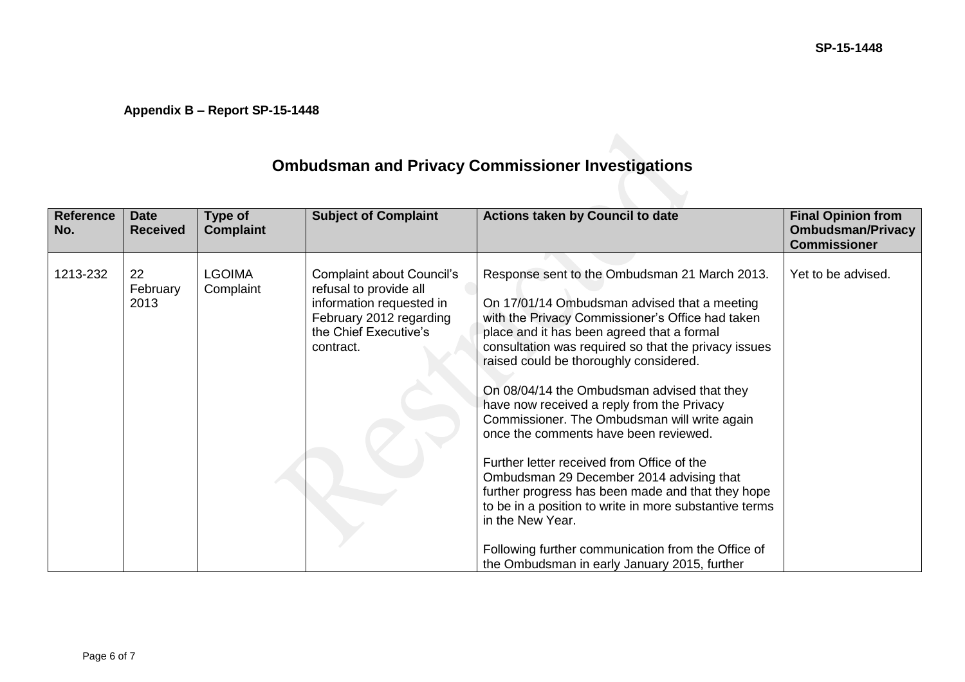## **Appendix B – Report SP-15-1448**

# **Ombudsman and Privacy Commissioner Investigations**

| <b>Reference</b><br>No. | <b>Date</b><br><b>Received</b> | Type of<br><b>Complaint</b> | <b>Subject of Complaint</b>                                                                                                                             | Actions taken by Council to date                                                                                                                                                                                                                                                                                                                                                                                                                                                                                                                                                                                                                                                                                                                                                                                           | <b>Final Opinion from</b><br><b>Ombudsman/Privacy</b><br><b>Commissioner</b> |
|-------------------------|--------------------------------|-----------------------------|---------------------------------------------------------------------------------------------------------------------------------------------------------|----------------------------------------------------------------------------------------------------------------------------------------------------------------------------------------------------------------------------------------------------------------------------------------------------------------------------------------------------------------------------------------------------------------------------------------------------------------------------------------------------------------------------------------------------------------------------------------------------------------------------------------------------------------------------------------------------------------------------------------------------------------------------------------------------------------------------|------------------------------------------------------------------------------|
| 1213-232                | 22<br>February<br>2013         | <b>LGOIMA</b><br>Complaint  | <b>Complaint about Council's</b><br>refusal to provide all<br>information requested in<br>February 2012 regarding<br>the Chief Executive's<br>contract. | Response sent to the Ombudsman 21 March 2013.<br>On 17/01/14 Ombudsman advised that a meeting<br>with the Privacy Commissioner's Office had taken<br>place and it has been agreed that a formal<br>consultation was required so that the privacy issues<br>raised could be thoroughly considered.<br>On 08/04/14 the Ombudsman advised that they<br>have now received a reply from the Privacy<br>Commissioner. The Ombudsman will write again<br>once the comments have been reviewed.<br>Further letter received from Office of the<br>Ombudsman 29 December 2014 advising that<br>further progress has been made and that they hope<br>to be in a position to write in more substantive terms<br>in the New Year.<br>Following further communication from the Office of<br>the Ombudsman in early January 2015, further | Yet to be advised.                                                           |